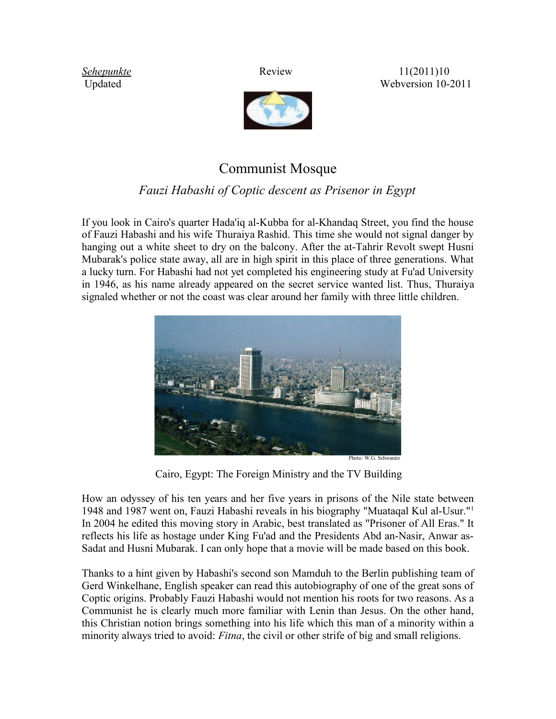*<u>[Sehepunkte](http://www.sehepunkte.de/2011/10/19297.html)</u>* Review Review 11(2011)10 Updated Webversion 10-2011



## Communist Mosque

## *Fauzi Habashi of Coptic descent as Prisenor in Egypt*

If you look in Cairo's quarter Hada'iq al-Kubba for al-Khandaq Street, you find the house of Fauzi Habashi and his wife Thuraiya Rashid. This time she would not signal danger by hanging out a white sheet to dry on the balcony. After the at-Tahrir Revolt swept Husni Mubarak's police state away, all are in high spirit in this place of three generations. What a lucky turn. For Habashi had not yet completed his engineering study at Fu'ad University in 1946, as his name already appeared on the secret service wanted list. Thus, Thuraiya signaled whether or not the coast was clear around her family with three little children.



Cairo, Egypt: The Foreign Ministry and the TV Building

How an odyssey of his ten years and her five years in prisons of the Nile state between 1948 and 1987 went on, Fauzi Habashi reveals in his biography "Muataqal Kul al-Usur."<sup>1</sup> In 2004 he edited this moving story in Arabic, best translated as "Prisoner of All Eras." It reflects his life as hostage under King Fu'ad and the Presidents Abd an-Nasir, Anwar as-Sadat and Husni Mubarak. I can only hope that a movie will be made based on this book.

Thanks to a hint given by Habashi's second son Mamduh to the Berlin publishing team of Gerd Winkelhane, English speaker can read this autobiography of one of the great sons of Coptic origins. Probably Fauzi Habashi would not mention his roots for two reasons. As a Communist he is clearly much more familiar with Lenin than Jesus. On the other hand, this Christian notion brings something into his life which this man of a minority within a minority always tried to avoid: *Fitna*, the civil or other strife of big and small religions.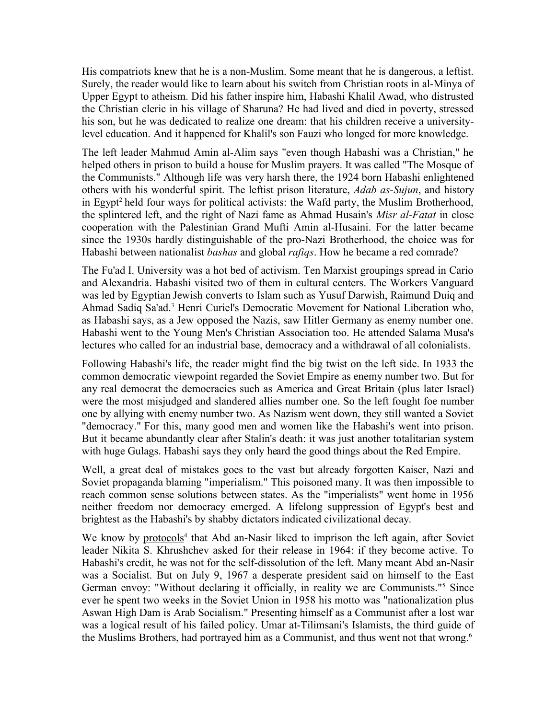His compatriots knew that he is a non-Muslim. Some meant that he is dangerous, a leftist. Surely, the reader would like to learn about his switch from Christian roots in al-Minya of Upper Egypt to atheism. Did his father inspire him, Habashi Khalil Awad, who distrusted the Christian cleric in his village of Sharuna? He had lived and died in poverty, stressed his son, but he was dedicated to realize one dream: that his children receive a universitylevel education. And it happened for Khalil's son Fauzi who longed for more knowledge.

The left leader Mahmud Amin al-Alim says "even though Habashi was a Christian," he helped others in prison to build a house for Muslim prayers. It was called "The Mosque of the Communists." Although life was very harsh there, the 1924 born Habashi enlightened others with his wonderful spirit. The leftist prison literature, *Adab as-Sujun*, and history in Egypt<sup>2</sup> held four ways for political activists: the Wafd party, the Muslim Brotherhood, the splintered left, and the right of Nazi fame as Ahmad Husain's *Misr al-Fatat* in close cooperation with the Palestinian Grand Mufti Amin al-Husaini. For the latter became since the 1930s hardly distinguishable of the pro-Nazi Brotherhood, the choice was for Habashi between nationalist *bashas* and global *rafiqs*. How he became a red comrade?

The Fu'ad I. University was a hot bed of activism. Ten Marxist groupings spread in Cario and Alexandria. Habashi visited two of them in cultural centers. The Workers Vanguard was led by Egyptian Jewish converts to Islam such as Yusuf Darwish, Raimund Duiq and Ahmad Sadiq Sa'ad.<sup>3</sup> Henri Curiel's Democratic Movement for National Liberation who, as Habashi says, as a Jew opposed the Nazis, saw Hitler Germany as enemy number one. Habashi went to the Young Men's Christian Association too. He attended Salama Musa's lectures who called for an industrial base, democracy and a withdrawal of all colonialists.

Following Habashi's life, the reader might find the big twist on the left side. In 1933 the common democratic viewpoint regarded the Soviet Empire as enemy number two. But for any real democrat the democracies such as America and Great Britain (plus later Israel) were the most misjudged and slandered allies number one. So the left fought foe number one by allying with enemy number two. As Nazism went down, they still wanted a Soviet "democracy." For this, many good men and women like the Habashi's went into prison. But it became abundantly clear after Stalin's death: it was just another totalitarian system with huge Gulags. Habashi says they only heard the good things about the Red Empire.

Well, a great deal of mistakes goes to the vast but already forgotten Kaiser, Nazi and Soviet propaganda blaming "imperialism." This poisoned many. It was then impossible to reach common sense solutions between states. As the "imperialists" went home in 1956 neither freedom nor democracy emerged. A lifelong suppression of Egypt's best and brightest as the Habashi's by shabby dictators indicated civilizational decay.

We know by [protocols](http://www.trafoberlin.de/pdf-dateien/Deutsche Aswan Damm Protokolle Hildesheim 1998 WGS.pdf)<sup>4</sup> that Abd an-Nasir liked to imprison the left again, after Soviet leader Nikita S. Khrushchev asked for their release in 1964: if they become active. To Habashi's credit, he was not for the self-dissolution of the left. Many meant Abd an-Nasir was a Socialist. But on July 9, 1967 a desperate president said on himself to the East German envoy: "Without declaring it officially, in reality we are Communists."<sup>5</sup> Since ever he spent two weeks in the Soviet Union in 1958 his motto was "nationalization plus Aswan High Dam is Arab Socialism." Presenting himself as a Communist after a lost war was a logical result of his failed policy. Umar at-Tilimsani's Islamists, the third guide of the Muslims Brothers, had portrayed him as a Communist, and thus went not that wrong.6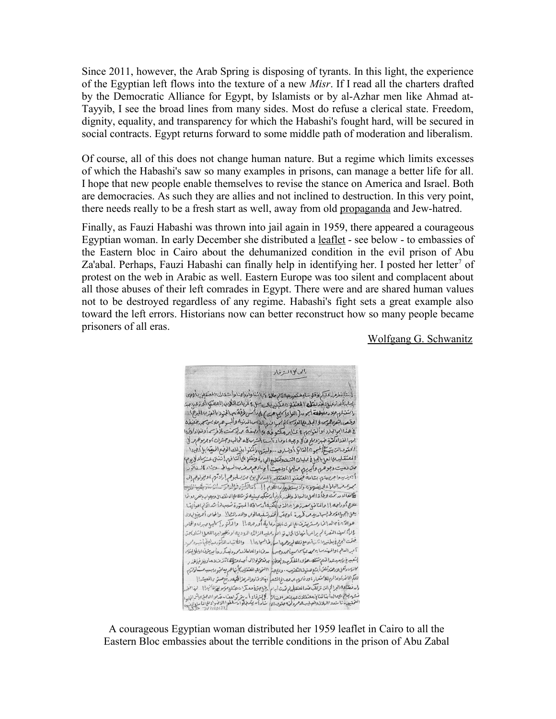Since 2011, however, the Arab Spring is disposing of tyrants. In this light, the experience of the Egyptian left flows into the texture of a new *Misr*. If I read all the charters drafted by the Democratic Alliance for Egypt, by Islamists or by al-Azhar men like Ahmad at-Tayyib, I see the broad lines from many sides. Most do refuse a clerical state. Freedom, dignity, equality, and transparency for which the Habashi's fought hard, will be secured in social contracts. Egypt returns forward to some middle path of moderation and liberalism.

Of course, all of this does not change human nature. But a regime which limits excesses of which the Habashi's saw so many examples in prisons, can manage a better life for all. I hope that new people enable themselves to revise the stance on America and Israel. Both are democracies. As such they are allies and not inclined to destruction. In this very point, there needs really to be a fresh start as well, away from old [propaganda](http://www.trafoberlin.de/pdf-dateien/2010_06_16/Meir Litvak Esther Webman Arab Responses.pdf) and Jew-hatred.

Finally, as Fauzi Habashi was thrown into jail again in 1959, there appeared a courageous Egyptian woman. In early December she distributed a [leaflet](http://www.trafoberlin.de/pdf-dateien/Intellektuelle im Kerker Abu Zaabal.pdf) - see below - to embassies of the Eastern bloc in Cairo about the dehumanized condition in the evil prison of Abu Za'abal. Perhaps, Fauzi Habashi can finally help in identifying her. I posted her letter<sup>7</sup> of protest on the web in Arabic as well. Eastern Europe was too silent and complacent about all those abuses of their left comrades in Egypt. There were and are shared human values not to be destroyed regardless of any regime. Habashi's fight sets a great example also toward the left errors. Historians now can better reconstruct how so many people became prisoners of all eras.

[Wolfgang G. Schwanitz](http://www.trafoberlin.de/Autoren/schwanitz_wolfgang.htm)

الحاكل المشفاء .<br>اِنْتَابْطُهُ عَلَيْكُمْ وَقَلِيتَنَابِعَثْمِرِهِ اللَّهُمِ مَالَهُ بِمَاشَا وَأُرْوَامِنَا وَأَحْدَثَ الْمَتَقِلِي بِأَوْرِي بمارا أخاتر عبل ولفرنق المعنف وعكبر بالساس وغريات اللاب المعتم الحازعب بد التقبل علا دعص في الرواد (الواد كيم عن ) على المس فرقة بها الجنود بالعرب المرح). وقعر الثويلم موالجلابي الوسكة نجر والهابالاس المدنيه وألبر حهلابس مهر تنبزه ع هذا الجوالجلاد ) والعوابهم، في عنا بر حكمو في عام المجمعة مم يهر منت بلافرس أوغنا وكرُّوا لهم الفناء كترة ضبر وملح فاكل وجبه اوصاء آسنا الشرساله طمالب وحشرات كوجر موهومهر للى الحقوصاليّ بيّ يُخْ المبوء الفائق أوبساره. ..وليهُم واكتنوا بدْ لِك الونوع المعيّنا) بإنج يرد ا المعتقليه بمالعها بالجباغ عربيان التت وتقط والحبابة ونقلا ملى أكتافهم إحسنن عشر اءلايوم، متن دهیت دجوهرم وکیریرم مهلها ، ددهیت اج ادهم مرض به السیاط ، ویب کاله خاتور ا<br>أبي نه بيد واجر بيرة تيم بينامة فيحققو (المعتقليه بالمدركل بوم من يسلبوهم إرادتهم ، وبيولوهم إبي محوم مدالهلا ولا يغربوه ولايستطيع دالكوم !! أسلاكي وفاروت الاستخبار يختم الدور تحت ويلأة العل بالبدالم والمخدر بأرغ أرتبكه بمبنيه نؤشك على الدنقصال ويصاب بالعر دوخا علاج أوراجه إإ والمناخ بمعدز جراه الذي أكتيفا أرساقه المبتورة تسبب لم أشد الكراء وأينها يعلى بالجبراء ومولم سوامد يدم فكررة بالمصر المحتر ت لمبدالوم والاد رائع الملط العام المريب بدلال هوالآي ٢ به له إنما دِمستريشرف دالالدت، بلا دلما ية أورجمه!! والدكتور إِسماعِي مِبرِي والحام . واراً مبينة المقدام براعها فها تا كل مدينة المعرضية .<br>. واراً مبينة القدام براعها فها تا كل مدينة المريضية الزادة الدوديه اوفصيوا بهما للعما الشاريجة.<br>ختمت البرج فاطنيوا ثانية اوجع ذاها لم تصريب الراحل عا ! . والمطانيد بشعبيع بيرسيدعبدالمنع شتك حؤلاءالمفكريه وبعطتا به تنتخولوا الى أجياد مثطقا تتزت دحاوييز فباللذر كالرس وتقل بلارهتم وتلتن أبشع هسوف المتعذيب - وعلم عباً االتمويق المعتقلين كأنها هم يعاصبون بسبب مسكنا ذاريم للكم الحاضر كوعدائم والملاكمتمار ، ووذا يوم بم حصاع المصلح ، جلالا فنا دوالرعز المحيد ورفع مستو والمعيشة ! إ 

A courageous Egyptian woman distributed her 1959 leaflet in Cairo to all the Eastern Bloc embassies about the terrible conditions in the prison of Abu Zabal